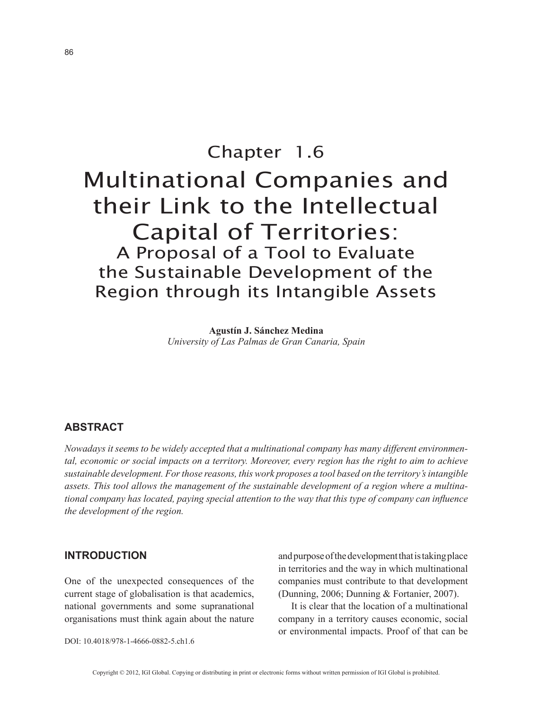# Chapter 1.6 Multinational Companies and their Link to the Intellectual Capital of Territories: A Proposal of a Tool to Evaluate the Sustainable Development of the Region through its Intangible Assets

**Agustín J. Sánchez Medina** *University of Las Palmas de Gran Canaria, Spain*

## **ABSTRACT**

*Nowadays it seems to be widely accepted that a multinational company has many different environmental, economic or social impacts on a territory. Moreover, every region has the right to aim to achieve sustainable development. For those reasons, this work proposes a tool based on the territory's intangible assets. This tool allows the management of the sustainable development of a region where a multinational company has located, paying special attention to the way that this type of company can influence the development of the region.*

#### **INTRODUCTION**

One of the unexpected consequences of the current stage of globalisation is that academics, national governments and some supranational organisations must think again about the nature and purpose of the development that is taking place in territories and the way in which multinational companies must contribute to that development (Dunning, 2006; Dunning & Fortanier, 2007).

It is clear that the location of a multinational company in a territory causes economic, social or environmental impacts. Proof of that can be

DOI: 10.4018/978-1-4666-0882-5.ch1.6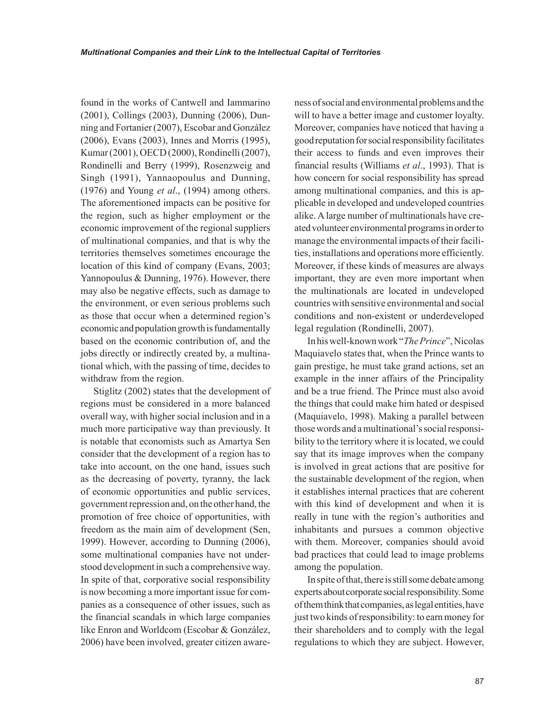found in the works of Cantwell and Iammarino (2001), Collings (2003), Dunning (2006), Dunning and Fortanier (2007), Escobar and González (2006), Evans (2003), Innes and Morris (1995), Kumar (2001), OECD (2000), Rondinelli (2007), Rondinelli and Berry (1999), Rosenzweig and Singh (1991), Yannaopoulus and Dunning, (1976) and Young *et al*., (1994) among others. The aforementioned impacts can be positive for the region, such as higher employment or the economic improvement of the regional suppliers of multinational companies, and that is why the territories themselves sometimes encourage the location of this kind of company (Evans, 2003; Yannopoulus & Dunning, 1976). However, there may also be negative effects, such as damage to the environment, or even serious problems such as those that occur when a determined region's economic and population growth is fundamentally based on the economic contribution of, and the jobs directly or indirectly created by, a multinational which, with the passing of time, decides to withdraw from the region.

Stiglitz (2002) states that the development of regions must be considered in a more balanced overall way, with higher social inclusion and in a much more participative way than previously. It is notable that economists such as Amartya Sen consider that the development of a region has to take into account, on the one hand, issues such as the decreasing of poverty, tyranny, the lack of economic opportunities and public services, government repression and, on the other hand, the promotion of free choice of opportunities, with freedom as the main aim of development (Sen, 1999). However, according to Dunning (2006), some multinational companies have not understood development in such a comprehensive way. In spite of that, corporative social responsibility is now becoming a more important issue for companies as a consequence of other issues, such as the financial scandals in which large companies like Enron and Worldcom (Escobar & González, 2006) have been involved, greater citizen awareness of social and environmental problems and the will to have a better image and customer loyalty. Moreover, companies have noticed that having a good reputation for social responsibility facilitates their access to funds and even improves their financial results (Williams *et al*., 1993). That is how concern for social responsibility has spread among multinational companies, and this is applicable in developed and undeveloped countries alike. A large number of multinationals have created volunteer environmental programs in order to manage the environmental impacts of their facilities, installations and operations more efficiently. Moreover, if these kinds of measures are always important, they are even more important when the multinationals are located in undeveloped countries with sensitive environmental and social conditions and non-existent or underdeveloped legal regulation (Rondinelli, 2007).

In his well-known work "*The Prince*", Nicolas Maquiavelo states that, when the Prince wants to gain prestige, he must take grand actions, set an example in the inner affairs of the Principality and be a true friend. The Prince must also avoid the things that could make him hated or despised (Maquiavelo, 1998). Making a parallel between those words and a multinational's social responsibility to the territory where it is located, we could say that its image improves when the company is involved in great actions that are positive for the sustainable development of the region, when it establishes internal practices that are coherent with this kind of development and when it is really in tune with the region's authorities and inhabitants and pursues a common objective with them. Moreover, companies should avoid bad practices that could lead to image problems among the population.

In spite of that, there is still some debate among experts about corporate social responsibility. Some of them think that companies, as legal entities, have just two kinds of responsibility: to earn money for their shareholders and to comply with the legal regulations to which they are subject. However,